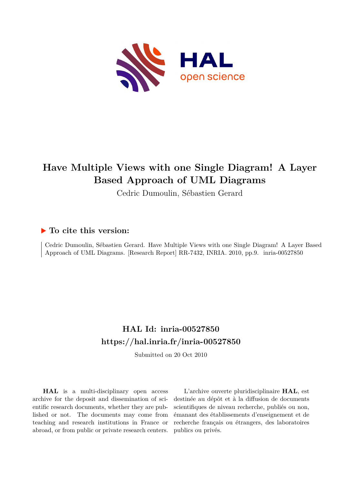

## **Have Multiple Views with one Single Diagram! A Layer Based Approach of UML Diagrams**

Cedric Dumoulin, Sébastien Gerard

### **To cite this version:**

Cedric Dumoulin, Sébastien Gerard. Have Multiple Views with one Single Diagram! A Layer Based Approach of UML Diagrams. [Research Report] RR-7432, INRIA. 2010, pp.9. inria-00527850

## **HAL Id: inria-00527850 <https://hal.inria.fr/inria-00527850>**

Submitted on 20 Oct 2010

**HAL** is a multi-disciplinary open access archive for the deposit and dissemination of scientific research documents, whether they are published or not. The documents may come from teaching and research institutions in France or abroad, or from public or private research centers.

L'archive ouverte pluridisciplinaire **HAL**, est destinée au dépôt et à la diffusion de documents scientifiques de niveau recherche, publiés ou non, émanant des établissements d'enseignement et de recherche français ou étrangers, des laboratoires publics ou privés.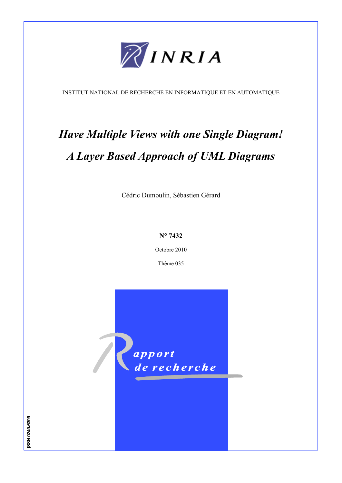

INSTITUT NATIONAL DE RECHERCHE EN INFORMATIQUE ET EN AUTOMATIQUE

# *Have Multiple Views with one Single Diagram! A Layer Based Approach of UML Diagrams*

Cédric Dumoulin, Sébastien Gérard

<span id="page-1-0"></span>**N° 7432**

Octobre 2010

Thème 035



ISSN 0249-6399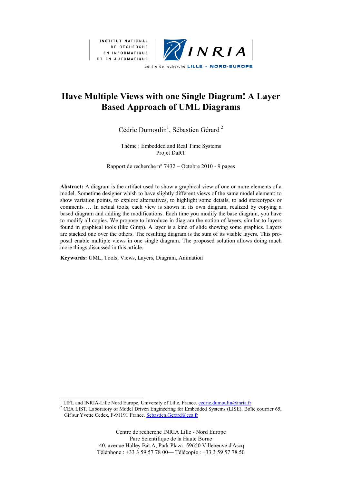INSTITUT NATIONAL DE RECHERCHE EN INFORMATIQUE ET EN AUTOMATIQUE



## **Have Multiple Views with one Single Diagram! A Layer Based Approach of UML Diagrams**

Cédric Dumoulin<sup>1</sup>, Sébastien Gérard<sup>2</sup>

Thème : Embedded and Real Time Systems Projet DaRT

Rapport de recherche n° [7432](#page-1-0) – Octobre 2010 - 9 pages

**Abstract:** A diagram is the artifact used to show a graphical view of one or more elements of a model. Sometime designer whish to have slightly different views of the same model element: to show variation points, to explore alternatives, to highlight some details, to add stereotypes or comments … In actual tools, each view is shown in its own diagram, realized by copying a based diagram and adding the modifications. Each time you modify the base diagram, you have to modify all copies. We propose to introduce in diagram the notion of layers, similar to layers found in graphical tools (like Gimp). A layer is a kind of slide showing some graphics. Layers are stacked one over the others. The resulting diagram is the sum of its visible layers. This proposal enable multiple views in one single diagram. The proposed solution allows doing much more things discussed in this article.

**Keywords:** UML, Tools, Views, Layers, Diagram, Animation

l

<sup>&</sup>lt;sup>1</sup> LIFL and INRIA-Lille Nord Europe, University of Lille, France[. cedric.dumoulin@inria.fr](mailto:cedric.dumoulin@inria.fr)

<sup>&</sup>lt;sup>2</sup> CEA LIST, Laboratory of Model Driven Engineering for Embedded Systems (LISE), Boîte courrier 65, Gif sur Yvette Cedex, F-91191 France. [Sebastien.Gerard@cea.fr](mailto:Sebastien.Gerard@cea.fr)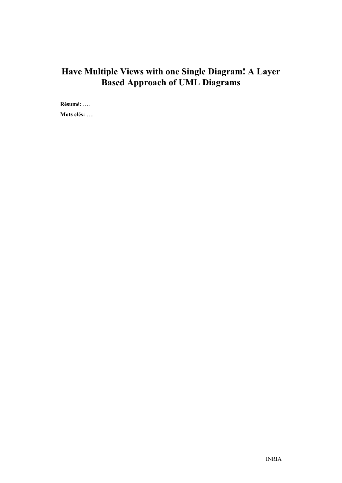## **Have Multiple Views with one Single Diagram! A Layer Based Approach of UML Diagrams**

**Résumé:** …. **Mots clés:** ….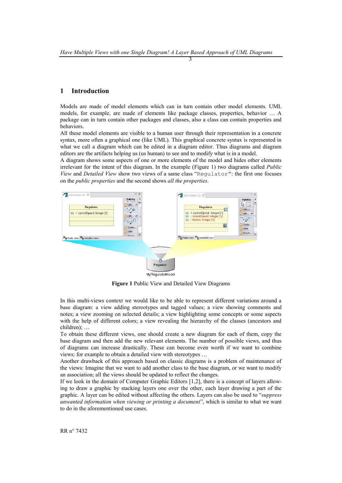3

#### **1 Introduction**

Models are made of model elements which can in turn contain other model elements. UML models, for example, are made of elements like package classes, properties, behavior … A package can in turn contain other packages and classes, also a class can contain properties and behaviors.

All these model elements are visible to a human user through their representation in a concrete syntax, more often a graphical one (like UML). This graphical concrete syntax is represented in what we call a diagram which can be edited in a diagram editor. Thus diagrams and diagram editors are the artifacts helping us (us human) to see and to modify what is in a model.

A diagram shows some aspects of one or more elements of the model and hides other elements irrelevant for the intent of this diagram. In the example [\(Figure 1\)](#page-5-0) two diagrams called *Public View* and *Detailed View* show two views of a same class "Regulator": the first one focuses on the *public properties* and the second shows *all the properties*.



**Figure 1** Public View and Detailed View Diagrams

<span id="page-5-0"></span>In this multi-views context we would like to be able to represent different variations around a base diagram: a view adding stereotypes and tagged values; a view showing comments and notes; a view zooming on selected details; a view highlighting some concepts or some aspects with the help of different colors; a view revealing the hierarchy of the classes (ancestors and children); …

To obtain these different views, one should create a new diagram for each of them, copy the base diagram and then add the new relevant elements. The number of possible views, and thus of diagrams can increase drastically. These can become even worth if we want to combine views: for example to obtain a detailed view with stereotypes …

Another drawback of this approach based on classic diagrams is a problem of maintenance of the views: Imagine that we want to add another class to the base diagram, or we want to modify an association; all the views should be updated to reflect the changes.

If we look in the domain of Computer Graphic Editors [\[1,](#page-9-0)[2\]](#page-9-1), there is a concept of layers allowing to draw a graphic by stacking layers one over the other, each layer drawing a part of the graphic. A layer can be edited without affecting the others. Layers can also be used to "suppress *unwanted information when viewing or printing a document*", which is similar to what we want to do in the aforementioned use cases.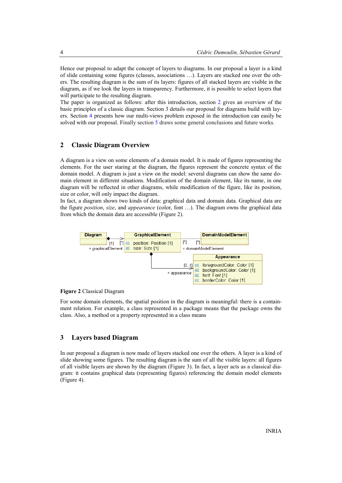Hence our proposal to adapt the concept of layers to diagrams. In our proposal a layer is a kind of slide containing some figures (classes, associations …). Layers are stacked one over the others. The resulting diagram is the sum of its layers: figures of all stacked layers are visible in the diagram, as if we look the layers in transparency. Furthermore, it is possible to select layers that will participate to the resulting diagram.

The paper is organized as follows: after this introduction, section 2 gives an overview of the basic principles of a classic diagram. Section 3 details our proposal for diagrams build with layers. Section 4 presents how our multi-views problem exposed in the introduction can easily be solved with our proposal. Finally section 5 draws some general conclusions and future works.

#### **2 Classic Diagram Overview**

A diagram is a view on some elements of a domain model. It is made of figures representing the elements. For the user staring at the diagram, the figures represent the concrete syntax of the domain model. A diagram is just a view on the model: several diagrams can show the same domain element in different situations. Modification of the domain element, like its name, in one diagram will be reflected in other diagrams, while modification of the figure, like its position, size or color, will only impact the diagram.

In fact, a diagram shows two kinds of data: graphical data and domain data. Graphical data are the figure *position*, *size*, and *appearance* (color, font …). The diagram owns the graphical data from which the domain data are accessible [\(Figure 2\)](#page-6-0).



<span id="page-6-0"></span>**Figure 2** Classical Diagram

For some domain elements, the spatial position in the diagram is meaningful: there is a containment relation. For example, a class represented in a package means that the package owns the class. Also, a method or a property represented in a class means

#### **3 Layers based Diagram**

In our proposal a diagram is now made of layers stacked one over the others. A layer is a kind of slide showing some figures. The resulting diagram is the sum of all the visible layers: all figures of all visible layers are shown by the diagram [\(Figure 3\)](#page-7-0). In fact, a layer acts as a classical diagram: it contains graphical data (representing figures) referencing the domain model elements [\(Figure 4\)](#page-7-1).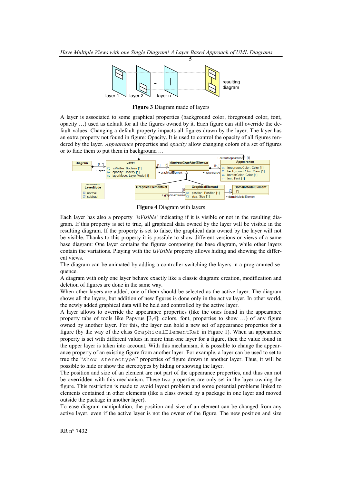

**Figure 3** Diagram made of layers

<span id="page-7-0"></span>A layer is associated to some graphical properties (background color, foreground color, font, opacity …) used as default for all the figures owned by it. Each figure can still override the default values. Changing a default property impacts all figures drawn by the layer. The layer has an extra property not found in figure: Opacity. It is used to control the opacity of all figures rendered by the layer. *Appearance* properties and *opacity* allow changing colors of a set of figures or to fade them to put them in background …



**Figure 4** Diagram with layers

<span id="page-7-1"></span>Each layer has also a property *'isVisible'* indicating if it is visible or not in the resulting diagram. If this property is set to true, all graphical data owned by the layer will be visible in the resulting diagram. If the property is set to false, the graphical data owned by the layer will not be visible. Thanks to this property it is possible to show different versions or views of a same base diagram: One layer contains the figures composing the base diagram, while other layers contain the variations. Playing with the *isVisible* property allows hiding and showing the different views.

The diagram can be animated by adding a controller switching the layers in a programmed sequence.

A diagram with only one layer behave exactly like a classic diagram: creation, modification and deletion of figures are done in the same way.

When other layers are added, one of them should be selected as the active layer. The diagram shows all the layers, but addition of new figures is done only in the active layer. In other world, the newly added graphical data will be held and controlled by the active layer.

A layer allows to override the appearance properties (like the ones found in the appearance property tabs of tools like Papyrus [\[3,](#page-9-2)[4](#page-9-3)]: colors, font, properties to show …) of any figure owned by another layer. For this, the layer can hold a new set of appearance properties for a figure (by the way of the class GraphicalElementRef in [Figure 1\)](#page-5-0). When an appearance property is set with different values in more than one layer for a figure, then the value found in the upper layer is taken into account. With this mechanism, it is possible to change the appearance property of an existing figure from another layer. For example, a layer can be used to set to true the "show stereotype" properties of figure drawn in another layer. Thus, it will be possible to hide or show the stereotypes by hiding or showing the layer.

The position and size of an element are not part of the appearance properties, and thus can not be overridden with this mechanism. These two properties are only set in the layer owning the figure. This restriction is made to avoid layout problem and some potential problems linked to elements contained in other elements (like a class owned by a package in one layer and moved outside the package in another layer).

To ease diagram manipulation, the position and size of an element can be changed from any active layer, even if the active layer is not the owner of the figure. The new position and size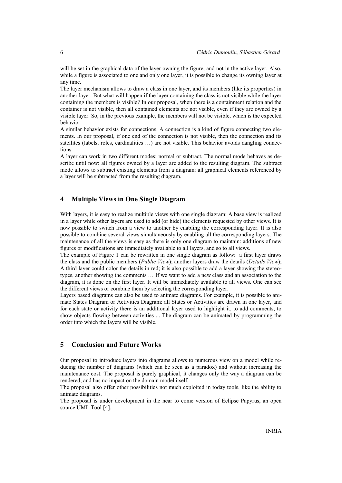will be set in the graphical data of the layer owning the figure, and not in the active layer. Also, while a figure is associated to one and only one layer, it is possible to change its owning layer at any time.

The layer mechanism allows to draw a class in one layer, and its members (like its properties) in another layer. But what will happen if the layer containing the class is not visible while the layer containing the members is visible? In our proposal, when there is a containment relation and the container is not visible, then all contained elements are not visible, even if they are owned by a visible layer. So, in the previous example, the members will not be visible, which is the expected behavior.

A similar behavior exists for connections. A connection is a kind of figure connecting two elements. In our proposal, if one end of the connection is not visible, then the connection and its satellites (labels, roles, cardinalities ...) are not visible. This behavior avoids dangling connections.

A layer can work in two different modes: normal or subtract. The normal mode behaves as describe until now: all figures owned by a layer are added to the resulting diagram. The subtract mode allows to subtract existing elements from a diagram: all graphical elements referenced by a layer will be subtracted from the resulting diagram.

#### **4 Multiple Views in One Single Diagram**

With layers, it is easy to realize multiple views with one single diagram: A base view is realized in a layer while other layers are used to add (or hide) the elements requested by other views. It is now possible to switch from a view to another by enabling the corresponding layer. It is also possible to combine several views simultaneously by enabling all the corresponding layers. The maintenance of all the views is easy as there is only one diagram to maintain: additions of new figures or modifications are immediately available to all layers, and so to all views.

The example of [Figure 1](#page-5-0) can be rewritten in one single diagram as follow: a first layer draws the class and the public members (*Public View*); another layers draw the details (*Details View*); A third layer could color the details in red; it is also possible to add a layer showing the stereotypes, another showing the comments … If we want to add a new class and an association to the diagram, it is done on the first layer. It will be immediately available to all views. One can see the different views or combine them by selecting the corresponding layer.

Layers based diagrams can also be used to animate diagrams. For example, it is possible to animate States Diagram or Activities Diagram: all States or Activities are drawn in one layer, and for each state or activity there is an additional layer used to highlight it, to add comments, to show objects flowing between activities ... The diagram can be animated by programming the order into which the layers will be visible.

#### **5 Conclusion and Future Works**

Our proposal to introduce layers into diagrams allows to numerous view on a model while reducing the number of diagrams (which can be seen as a paradox) and without increasing the maintenance cost. The proposal is purely graphical, it changes only the way a diagram can be rendered, and has no impact on the domain model itself.

The proposal also offer other possibilities not much exploited in today tools, like the ability to animate diagrams.

The proposal is under development in the near to come version of Eclipse Papyrus, an open source UML Tool [\[4\]](#page-9-3).